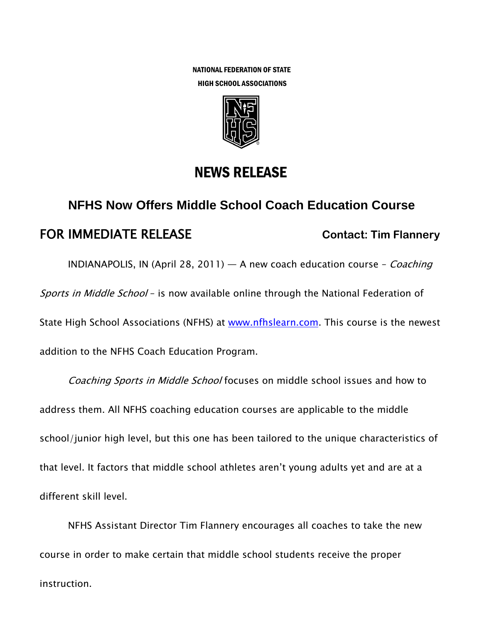NATIONAL FEDERATION OF STATE HIGH SCHOOL ASSOCIATIONS



## NEWS RELEASE

## **NFHS Now Offers Middle School Coach Education Course FOR IMMEDIATE RELEASE Contact: Tim Flannery**

INDIANAPOLIS, IN (April 28, 2011) — A new coach education course - *Coaching* Sports in Middle School - is now available online through the National Federation of State High School Associations (NFHS) at [www.nfhslearn.com.](http://www.nfhslearn.com/) This course is the newest addition to the NFHS Coach Education Program.

Coaching Sports in Middle School focuses on middle school issues and how to address them. All NFHS coaching education courses are applicable to the middle school/junior high level, but this one has been tailored to the unique characteristics of that level. It factors that middle school athletes aren't young adults yet and are at a different skill level.

NFHS Assistant Director Tim Flannery encourages all coaches to take the new course in order to make certain that middle school students receive the proper instruction.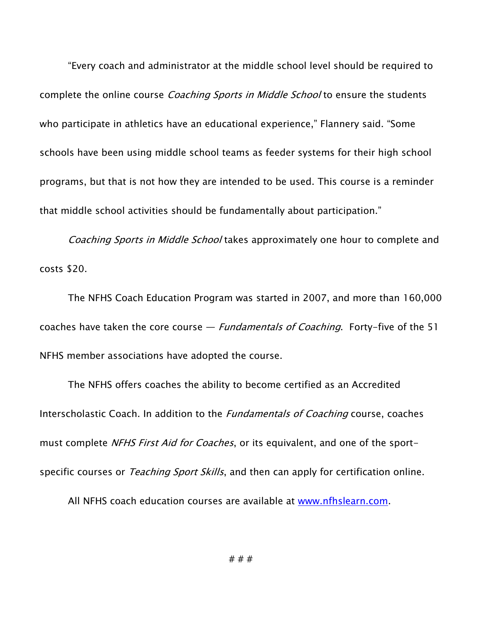―Every coach and administrator at the middle school level should be required to complete the online course *Coaching Sports in Middle School* to ensure the students who participate in athletics have an educational experience," Flannery said. "Some schools have been using middle school teams as feeder systems for their high school programs, but that is not how they are intended to be used. This course is a reminder that middle school activities should be fundamentally about participation."

Coaching Sports in Middle School takes approximately one hour to complete and costs \$20.

The NFHS Coach Education Program was started in 2007, and more than 160,000 coaches have taken the core course  $-$  *Fundamentals of Coaching*. Forty-five of the 51 NFHS member associations have adopted the course.

The NFHS offers coaches the ability to become certified as an Accredited Interscholastic Coach. In addition to the *Fundamentals of Coaching* course, coaches must complete NFHS First Aid for Coaches, or its equivalent, and one of the sportspecific courses or *Teaching Sport Skills*, and then can apply for certification online.

All NFHS coach education courses are available at [www.nfhslearn.com.](http://www.nfhslearn.com/)